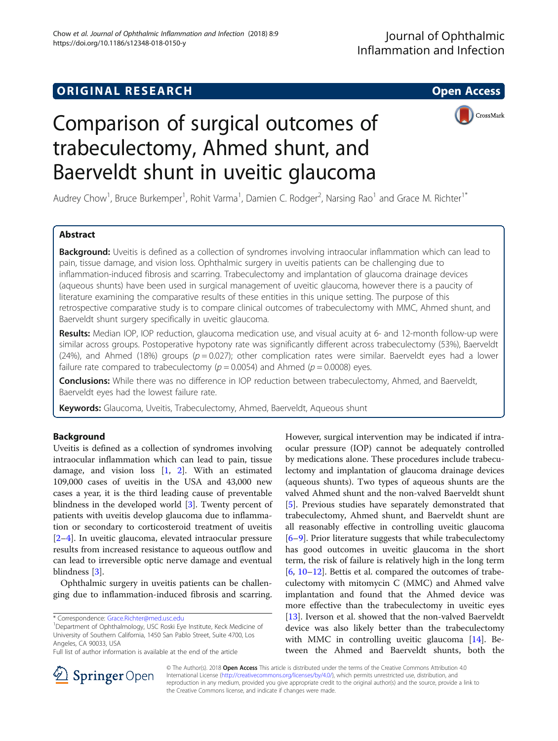## **ORIGINAL RESEARCH CONSUMING ACCESS**

# Comparison of surgical outcomes of trabeculectomy, Ahmed shunt, and Baerveldt shunt in uveitic glaucoma



Audrey Chow<sup>1</sup>, Bruce Burkemper<sup>1</sup>, Rohit Varma<sup>1</sup>, Damien C. Rodger<sup>2</sup>, Narsing Rao<sup>1</sup> and Grace M. Richter<sup>1\*</sup>

## Abstract

Background: Uveitis is defined as a collection of syndromes involving intraocular inflammation which can lead to pain, tissue damage, and vision loss. Ophthalmic surgery in uveitis patients can be challenging due to inflammation-induced fibrosis and scarring. Trabeculectomy and implantation of glaucoma drainage devices (aqueous shunts) have been used in surgical management of uveitic glaucoma, however there is a paucity of literature examining the comparative results of these entities in this unique setting. The purpose of this retrospective comparative study is to compare clinical outcomes of trabeculectomy with MMC, Ahmed shunt, and Baerveldt shunt surgery specifically in uveitic glaucoma.

Results: Median IOP, IOP reduction, glaucoma medication use, and visual acuity at 6- and 12-month follow-up were similar across groups. Postoperative hypotony rate was significantly different across trabeculectomy (53%), Baerveldt (24%), and Ahmed (18%) groups ( $p = 0.027$ ); other complication rates were similar. Baerveldt eyes had a lower failure rate compared to trabeculectomy ( $p = 0.0054$ ) and Ahmed ( $p = 0.0008$ ) eyes.

**Conclusions:** While there was no difference in IOP reduction between trabeculectomy, Ahmed, and Baerveldt, Baerveldt eyes had the lowest failure rate.

Keywords: Glaucoma, Uveitis, Trabeculectomy, Ahmed, Baerveldt, Aqueous shunt

### Background

Uveitis is defined as a collection of syndromes involving intraocular inflammation which can lead to pain, tissue damage, and vision loss [\[1](#page-8-0), [2](#page-8-0)]. With an estimated 109,000 cases of uveitis in the USA and 43,000 new cases a year, it is the third leading cause of preventable blindness in the developed world [[3\]](#page-8-0). Twenty percent of patients with uveitis develop glaucoma due to inflammation or secondary to corticosteroid treatment of uveitis [[2](#page-8-0)–[4\]](#page-8-0). In uveitic glaucoma, elevated intraocular pressure results from increased resistance to aqueous outflow and can lead to irreversible optic nerve damage and eventual blindness [\[3\]](#page-8-0).

Ophthalmic surgery in uveitis patients can be challenging due to inflammation-induced fibrosis and scarring. However, surgical intervention may be indicated if intraocular pressure (IOP) cannot be adequately controlled by medications alone. These procedures include trabeculectomy and implantation of glaucoma drainage devices (aqueous shunts). Two types of aqueous shunts are the valved Ahmed shunt and the non-valved Baerveldt shunt [[5\]](#page-8-0). Previous studies have separately demonstrated that trabeculectomy, Ahmed shunt, and Baerveldt shunt are all reasonably effective in controlling uveitic glaucoma [[6](#page-8-0)–[9\]](#page-8-0). Prior literature suggests that while trabeculectomy has good outcomes in uveitic glaucoma in the short term, the risk of failure is relatively high in the long term  $[6, 10-12]$  $[6, 10-12]$  $[6, 10-12]$  $[6, 10-12]$  $[6, 10-12]$  $[6, 10-12]$ . Bettis et al. compared the outcomes of trabeculectomy with mitomycin C (MMC) and Ahmed valve implantation and found that the Ahmed device was more effective than the trabeculectomy in uveitic eyes [[13\]](#page-8-0). Iverson et al. showed that the non-valved Baerveldt device was also likely better than the trabeculectomy with MMC in controlling uveitic glaucoma [[14\]](#page-8-0). Between the Ahmed and Baerveldt shunts, both the



© The Author(s). 2018 Open Access This article is distributed under the terms of the Creative Commons Attribution 4.0 International License ([http://creativecommons.org/licenses/by/4.0/\)](http://creativecommons.org/licenses/by/4.0/), which permits unrestricted use, distribution, and reproduction in any medium, provided you give appropriate credit to the original author(s) and the source, provide a link to the Creative Commons license, and indicate if changes were made.

<sup>\*</sup> Correspondence: [Grace.Richter@med.usc.edu](mailto:Grace.Richter@med.usc.edu) <sup>1</sup>

<sup>&</sup>lt;sup>1</sup>Department of Ophthalmology, USC Roski Eye Institute, Keck Medicine of University of Southern California, 1450 San Pablo Street, Suite 4700, Los Angeles, CA 90033, USA

Full list of author information is available at the end of the article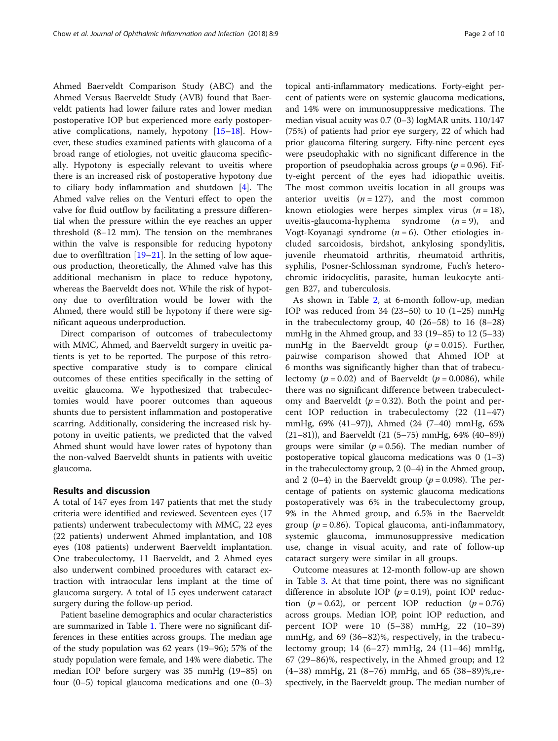Ahmed Baerveldt Comparison Study (ABC) and the Ahmed Versus Baerveldt Study (AVB) found that Baerveldt patients had lower failure rates and lower median postoperative IOP but experienced more early postoperative complications, namely, hypotony [[15](#page-8-0)–[18](#page-8-0)]. However, these studies examined patients with glaucoma of a broad range of etiologies, not uveitic glaucoma specifically. Hypotony is especially relevant to uveitis where there is an increased risk of postoperative hypotony due to ciliary body inflammation and shutdown [\[4](#page-8-0)]. The Ahmed valve relies on the Venturi effect to open the valve for fluid outflow by facilitating a pressure differential when the pressure within the eye reaches an upper threshold (8–12 mm). The tension on the membranes within the valve is responsible for reducing hypotony due to overfiltration [[19](#page-8-0)–[21\]](#page-8-0). In the setting of low aqueous production, theoretically, the Ahmed valve has this additional mechanism in place to reduce hypotony, whereas the Baerveldt does not. While the risk of hypotony due to overfiltration would be lower with the Ahmed, there would still be hypotony if there were significant aqueous underproduction.

Direct comparison of outcomes of trabeculectomy with MMC, Ahmed, and Baerveldt surgery in uveitic patients is yet to be reported. The purpose of this retrospective comparative study is to compare clinical outcomes of these entities specifically in the setting of uveitic glaucoma. We hypothesized that trabeculectomies would have poorer outcomes than aqueous shunts due to persistent inflammation and postoperative scarring. Additionally, considering the increased risk hypotony in uveitic patients, we predicted that the valved Ahmed shunt would have lower rates of hypotony than the non-valved Baerveldt shunts in patients with uveitic glaucoma.

#### Results and discussion

A total of 147 eyes from 147 patients that met the study criteria were identified and reviewed. Seventeen eyes (17 patients) underwent trabeculectomy with MMC, 22 eyes (22 patients) underwent Ahmed implantation, and 108 eyes (108 patients) underwent Baerveldt implantation. One trabeculectomy, 11 Baerveldt, and 2 Ahmed eyes also underwent combined procedures with cataract extraction with intraocular lens implant at the time of glaucoma surgery. A total of 15 eyes underwent cataract surgery during the follow-up period.

Patient baseline demographics and ocular characteristics are summarized in Table [1.](#page-3-0) There were no significant differences in these entities across groups. The median age of the study population was 62 years (19–96); 57% of the study population were female, and 14% were diabetic. The median IOP before surgery was 35 mmHg (19–85) on four  $(0-5)$  topical glaucoma medications and one  $(0-3)$ 

topical anti-inflammatory medications. Forty-eight percent of patients were on systemic glaucoma medications, and 14% were on immunosuppressive medications. The median visual acuity was 0.7 (0–3) logMAR units. 110/147 (75%) of patients had prior eye surgery, 22 of which had prior glaucoma filtering surgery. Fifty-nine percent eyes were pseudophakic with no significant difference in the proportion of pseudophakia across groups ( $p = 0.96$ ). Fifty-eight percent of the eyes had idiopathic uveitis. The most common uveitis location in all groups was anterior uveitis  $(n = 127)$ , and the most common known etiologies were herpes simplex virus  $(n = 18)$ , uveitis-glaucoma-hyphema syndrome  $(n = 9)$ , and Vogt-Koyanagi syndrome  $(n = 6)$ . Other etiologies included sarcoidosis, birdshot, ankylosing spondylitis, juvenile rheumatoid arthritis, rheumatoid arthritis, syphilis, Posner-Schlossman syndrome, Fuch's heterochromic iridocyclitis, parasite, human leukocyte antigen B27, and tuberculosis.

As shown in Table [2](#page-4-0), at 6-month follow-up, median IOP was reduced from  $34$  (23–50) to 10 (1–25) mmHg in the trabeculectomy group,  $40$   $(26-58)$  to  $16$   $(8-28)$ mmHg in the Ahmed group, and 33 (19–85) to 12 (5–33) mmHg in the Baerveldt group ( $p = 0.015$ ). Further, pairwise comparison showed that Ahmed IOP at 6 months was significantly higher than that of trabeculectomy ( $p = 0.02$ ) and of Baerveldt ( $p = 0.0086$ ), while there was no significant difference between trabeculectomy and Baerveldt ( $p = 0.32$ ). Both the point and percent IOP reduction in trabeculectomy (22 (11–47) mmHg, 69% (41–97)), Ahmed (24 (7–40) mmHg, 65% (21–81)), and Baerveldt (21 (5–75) mmHg, 64% (40–89)) groups were similar ( $p = 0.56$ ). The median number of postoperative topical glaucoma medications was  $0$  (1–3) in the trabeculectomy group, 2 (0–4) in the Ahmed group, and 2 (0–4) in the Baerveldt group ( $p = 0.098$ ). The percentage of patients on systemic glaucoma medications postoperatively was 6% in the trabeculectomy group, 9% in the Ahmed group, and 6.5% in the Baerveldt group ( $p = 0.86$ ). Topical glaucoma, anti-inflammatory, systemic glaucoma, immunosuppressive medication use, change in visual acuity, and rate of follow-up cataract surgery were similar in all groups.

Outcome measures at 12-month follow-up are shown in Table [3.](#page-4-0) At that time point, there was no significant difference in absolute IOP ( $p = 0.19$ ), point IOP reduction ( $p = 0.62$ ), or percent IOP reduction ( $p = 0.76$ ) across groups. Median IOP, point IOP reduction, and percent IOP were 10 (5–38) mmHg, 22 (10–39) mmHg, and 69 (36–82)%, respectively, in the trabeculectomy group; 14 (6–27) mmHg, 24 (11–46) mmHg, 67 (29–86)%, respectively, in the Ahmed group; and 12 (4–38) mmHg, 21 (8–76) mmHg, and 65 (38–89)%,respectively, in the Baerveldt group. The median number of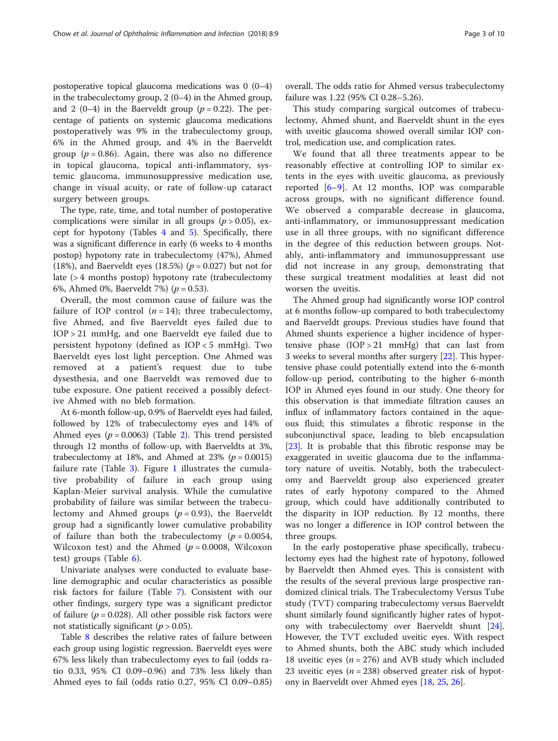postoperative topical glaucoma medications was 0 (0–4) in the trabeculectomy group, 2 (0–4) in the Ahmed group, and 2 (0–4) in the Baerveldt group ( $p = 0.22$ ). The percentage of patients on systemic glaucoma medications postoperatively was 9% in the trabeculectomy group, 6% in the Ahmed group, and 4% in the Baerveldt group ( $p = 0.86$ ). Again, there was also no difference in topical glaucoma, topical anti-inflammatory, systemic glaucoma, immunosuppressive medication use, change in visual acuity, or rate of follow-up cataract surgery between groups.

The type, rate, time, and total number of postoperative complications were similar in all groups  $(p > 0.05)$ , except for hypotony (Tables [4](#page-5-0) and [5\)](#page-5-0). Specifically, there was a significant difference in early (6 weeks to 4 months postop) hypotony rate in trabeculectomy (47%), Ahmed (18%), and Baerveldt eyes (18.5%) ( $p = 0.027$ ) but not for late (> 4 months postop) hypotony rate (trabeculectomy 6%, Ahmed 0%, Baerveldt 7%) ( $p = 0.53$ ).

Overall, the most common cause of failure was the failure of IOP control  $(n = 14)$ ; three trabeculectomy, five Ahmed, and five Baerveldt eyes failed due to IOP > 21 mmHg, and one Baerveldt eye failed due to persistent hypotony (defined as IOP < 5 mmHg). Two Baerveldt eyes lost light perception. One Ahmed was removed at a patient's request due to tube dysesthesia, and one Baerveldt was removed due to tube exposure. One patient received a possibly defective Ahmed with no bleb formation.

At 6-month follow-up, 0.9% of Baerveldt eyes had failed, followed by 12% of trabeculectomy eyes and 14% of Ahmed eyes ( $p = 0.0063$ ) (Table [2](#page-4-0)). This trend persisted through 12 months of follow-up, with Baerveldts at 3%, trabeculectomy at 18%, and Ahmed at 23% ( $p = 0.0015$ ) failure rate (Table  $3$ ). Figure [1](#page-6-0) illustrates the cumulative probability of failure in each group using Kaplan-Meier survival analysis. While the cumulative probability of failure was similar between the trabeculectomy and Ahmed groups ( $p = 0.93$ ), the Baerveldt group had a significantly lower cumulative probability of failure than both the trabeculectomy ( $p = 0.0054$ , Wilcoxon test) and the Ahmed ( $p = 0.0008$ , Wilcoxon test) groups (Table [6\)](#page-6-0).

Univariate analyses were conducted to evaluate baseline demographic and ocular characteristics as possible risk factors for failure (Table [7\)](#page-6-0). Consistent with our other findings, surgery type was a significant predictor of failure ( $p = 0.028$ ). All other possible risk factors were not statistically significant ( $p > 0.05$ ).

Table [8](#page-7-0) describes the relative rates of failure between each group using logistic regression. Baerveldt eyes were 67% less likely than trabeculectomy eyes to fail (odds ratio 0.33, 95% CI 0.09–0.96) and 73% less likely than Ahmed eyes to fail (odds ratio 0.27, 95% CI 0.09–0.85)

overall. The odds ratio for Ahmed versus trabeculectomy failure was 1.22 (95% CI 0.28–5.26).

This study comparing surgical outcomes of trabeculectomy, Ahmed shunt, and Baerveldt shunt in the eyes with uveitic glaucoma showed overall similar IOP control, medication use, and complication rates.

We found that all three treatments appear to be reasonably effective at controlling IOP to similar extents in the eyes with uveitic glaucoma, as previously reported [\[6](#page-8-0)–[9](#page-8-0)]. At 12 months, IOP was comparable across groups, with no significant difference found. We observed a comparable decrease in glaucoma, anti-inflammatory, or immunosuppressant medication use in all three groups, with no significant difference in the degree of this reduction between groups. Notably, anti-inflammatory and immunosuppressant use did not increase in any group, demonstrating that these surgical treatment modalities at least did not worsen the uveitis.

The Ahmed group had significantly worse IOP control at 6 months follow-up compared to both trabeculectomy and Baerveldt groups. Previous studies have found that Ahmed shunts experience a higher incidence of hypertensive phase  $(IOP > 21$  mmHg) that can last from 3 weeks to several months after surgery [\[22\]](#page-8-0). This hypertensive phase could potentially extend into the 6-month follow-up period, contributing to the higher 6-month IOP in Ahmed eyes found in our study. One theory for this observation is that immediate filtration causes an influx of inflammatory factors contained in the aqueous fluid; this stimulates a fibrotic response in the subconjunctival space, leading to bleb encapsulation [[23\]](#page-8-0). It is probable that this fibrotic response may be exaggerated in uveitic glaucoma due to the inflammatory nature of uveitis. Notably, both the trabeculectomy and Baerveldt group also experienced greater rates of early hypotony compared to the Ahmed group, which could have additionally contributed to the disparity in IOP reduction. By 12 months, there was no longer a difference in IOP control between the three groups.

In the early postoperative phase specifically, trabeculectomy eyes had the highest rate of hypotony, followed by Baerveldt then Ahmed eyes. This is consistent with the results of the several previous large prospective randomized clinical trials. The Trabeculectomy Versus Tube study (TVT) comparing trabeculectomy versus Baerveldt shunt similarly found significantly higher rates of hypotony with trabeculectomy over Baerveldt shunt [\[24](#page-8-0)]. However, the TVT excluded uveitic eyes. With respect to Ahmed shunts, both the ABC study which included 18 uveitic eyes ( $n = 276$ ) and AVB study which included 23 uveitic eyes ( $n = 238$ ) observed greater risk of hypotony in Baerveldt over Ahmed eyes [[18,](#page-8-0) [25](#page-8-0), [26](#page-8-0)].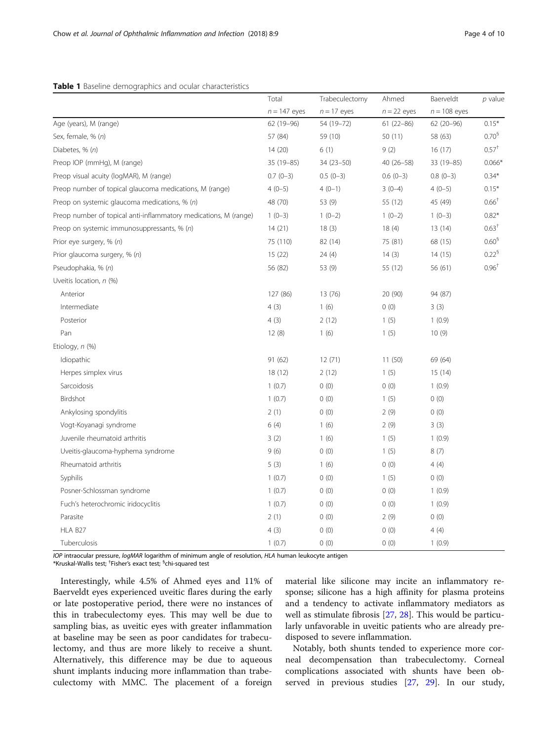#### <span id="page-3-0"></span>Table 1 Baseline demographics and ocular characteristics

|                                                                  | Total          | Trabeculectomy | Ahmed         | Baerveldt      | $p$ value            |
|------------------------------------------------------------------|----------------|----------------|---------------|----------------|----------------------|
|                                                                  | $n = 147$ eyes | $n = 17$ eyes  | $n = 22$ eyes | $n = 108$ eyes |                      |
| Age (years), M (range)                                           | 62 (19-96)     | 54 (19-72)     | $61(22 - 86)$ | $62(20-96)$    | $0.15*$              |
| Sex, female, % (n)                                               | 57 (84)        | 59 (10)        | 50 (11)       | 58 (63)        | $0.70^{\frac{5}{3}}$ |
| Diabetes, % (n)                                                  | 14(20)         | 6(1)           | 9(2)          | 16(17)         | $0.57^+$             |
| Preop IOP (mmHg), M (range)                                      | 35 (19-85)     | $34(23 - 50)$  | $40(26 - 58)$ | 33 (19-85)     | $0.066*$             |
| Preop visual acuity (logMAR), M (range)                          | $0.7(0-3)$     | $0.5(0-3)$     | $0.6(0-3)$    | $0.8(0-3)$     | $0.34*$              |
| Preop number of topical glaucoma medications, M (range)          | $4(0-5)$       | $4(0-1)$       | $3(0-4)$      | $4(0-5)$       | $0.15*$              |
| Preop on systemic glaucoma medications, % (n)                    | 48 (70)        | 53 (9)         | 55 (12)       | 45 (49)        | $0.66^+$             |
| Preop number of topical anti-inflammatory medications, M (range) | $1(0-3)$       | $1(0-2)$       | $1(0-2)$      | $1(0-3)$       | $0.82*$              |
| Preop on systemic immunosuppressants, $% (n)$                    | 14(21)         | 18(3)          | 18(4)         | 13 (14)        | $0.63+$              |
| Prior eye surgery, % (n)                                         | 75 (110)       | 82 (14)        | 75 (81)       | 68 (15)        | $0.60^{5}$           |
| Prior glaucoma surgery, % (n)                                    | 15(22)         | 24(4)          | 14(3)         | 14(15)         | $0.22^{6}$           |
| Pseudophakia, % (n)                                              | 56 (82)        | 53 (9)         | 55 (12)       | 56 (61)        | $0.96+$              |
| Uveitis location, n (%)                                          |                |                |               |                |                      |
| Anterior                                                         | 127 (86)       | 13 (76)        | 20 (90)       | 94 (87)        |                      |
| Intermediate                                                     | 4(3)           | 1(6)           | 0(0)          | 3(3)           |                      |
| Posterior                                                        | 4(3)           | 2(12)          | 1(5)          | 1(0.9)         |                      |
| Pan                                                              | 12(8)          | 1(6)           | 1(5)          | 10(9)          |                      |
| Etiology, n (%)                                                  |                |                |               |                |                      |
| Idiopathic                                                       | 91 (62)        | 12(71)         | 11(50)        | 69 (64)        |                      |
| Herpes simplex virus                                             | 18(12)         | 2(12)          | 1(5)          | 15(14)         |                      |
| Sarcoidosis                                                      | 1(0.7)         | 0(0)           | 0(0)          | 1(0.9)         |                      |
| Birdshot                                                         | 1(0.7)         | 0(0)           | 1(5)          | 0(0)           |                      |
| Ankylosing spondylitis                                           | 2(1)           | 0(0)           | 2(9)          | 0(0)           |                      |
| Vogt-Koyanagi syndrome                                           | 6(4)           | 1(6)           | 2(9)          | 3(3)           |                      |
| Juvenile rheumatoid arthritis                                    | 3(2)           | 1(6)           | 1(5)          | 1(0.9)         |                      |
| Uveitis-glaucoma-hyphema syndrome                                | 9(6)           | 0(0)           | 1(5)          | 8(7)           |                      |
| Rheumatoid arthritis                                             | 5(3)           | 1(6)           | 0(0)          | 4(4)           |                      |
| Syphilis                                                         | 1(0.7)         | 0(0)           | 1(5)          | 0(0)           |                      |
| Posner-Schlossman syndrome                                       | 1(0.7)         | 0(0)           | 0(0)          | 1(0.9)         |                      |
| Fuch's heterochromic iridocyclitis                               | 1(0.7)         | 0(0)           | 0(0)          | 1(0.9)         |                      |
| Parasite                                                         | 2(1)           | 0(0)           | 2(9)          | 0(0)           |                      |
| HLA B27                                                          | 4(3)           | 0(0)           | 0(0)          | 4(4)           |                      |
| Tuberculosis                                                     | 1(0.7)         | 0(0)           | 0(0)          | 1(0.9)         |                      |

IOP intraocular pressure, logMAR logarithm of minimum angle of resolution, HLA human leukocyte antigen

\*Kruskal-Wallis test; † Fisher's exact test; § chi-squared test

Interestingly, while 4.5% of Ahmed eyes and 11% of Baerveldt eyes experienced uveitic flares during the early or late postoperative period, there were no instances of this in trabeculectomy eyes. This may well be due to sampling bias, as uveitic eyes with greater inflammation at baseline may be seen as poor candidates for trabeculectomy, and thus are more likely to receive a shunt. Alternatively, this difference may be due to aqueous shunt implants inducing more inflammation than trabeculectomy with MMC. The placement of a foreign

material like silicone may incite an inflammatory response; silicone has a high affinity for plasma proteins and a tendency to activate inflammatory mediators as well as stimulate fibrosis [[27](#page-8-0), [28](#page-8-0)]. This would be particularly unfavorable in uveitic patients who are already predisposed to severe inflammation.

Notably, both shunts tended to experience more corneal decompensation than trabeculectomy. Corneal complications associated with shunts have been observed in previous studies [[27,](#page-8-0) [29](#page-9-0)]. In our study,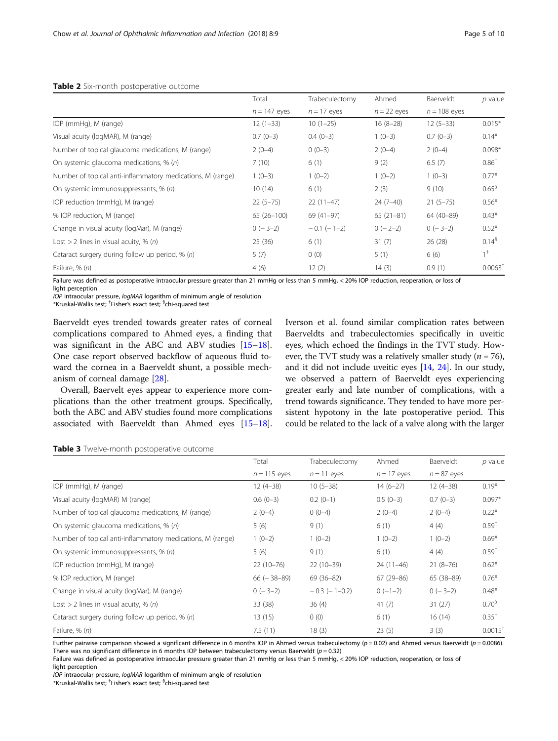|                                                            | Total          | Trabeculectomy    | Ahmed         | Baerveldt      | $p$ value            |
|------------------------------------------------------------|----------------|-------------------|---------------|----------------|----------------------|
|                                                            | $n = 147$ eyes | $n = 17$ eyes     | $n = 22$ eyes | $n = 108$ eyes |                      |
| IOP (mmHg), M (range)                                      | $12(1-33)$     | $10(1-25)$        | $16(8-28)$    | $12(5-33)$     | $0.015*$             |
| Visual acuity (logMAR), M (range)                          | $0.7(0-3)$     | $0.4(0-3)$        | $1(0-3)$      | $0.7(0-3)$     | $0.14*$              |
| Number of topical glaucoma medications, M (range)          | $2(0-4)$       | $0(0-3)$          | $2(0-4)$      | $2(0-4)$       | $0.098*$             |
| On systemic glaucoma medications, % (n)                    | 7(10)          | 6(1)              | 9(2)          | 6.5(7)         | $0.86^+$             |
| Number of topical anti-inflammatory medications, M (range) | $1(0-3)$       | $1(0-2)$          | $1(0-2)$      | $1(0-3)$       | $0.77*$              |
| On systemic immunosuppressants, % (n)                      | 10(14)         | 6(1)              | 2(3)          | 9(10)          | $0.65^{\frac{6}{3}}$ |
| IOP reduction (mmHg), M (range)                            | $22(5-75)$     | $22(11-47)$       | $24(7-40)$    | $21(5-75)$     | $0.56*$              |
| % IOP reduction, M (range)                                 | $65(26-100)$   | 69 (41-97)        | $65(21-81)$   | 64 (40-89)     | $0.43*$              |
| Change in visual acuity (logMar), M (range)                | $0(-3-2)$      | $-0.1$ ( $-1-2$ ) | $0(-2-2)$     | $0(-3-2)$      | $0.52*$              |
| Lost $>$ 2 lines in visual acuity, % (n)                   | 25(36)         | 6(1)              | 31(7)         | 26(28)         | $0.14^5$             |
| Cataract surgery during follow up period, % (n)            | 5(7)           | 0(0)              | 5(1)          | 6(6)           | $1^+$                |
| Failure, $% (n)$                                           | 4(6)           | 12(2)             | 14(3)         | 0.9(1)         | 0.0063 <sup>†</sup>  |

#### <span id="page-4-0"></span>Table 2 Six-month postoperative outcome

Failure was defined as postoperative intraocular pressure greater than 21 mmHg or less than 5 mmHg, < 20% IOP reduction, reoperation, or loss of light perception

IOP intraocular pressure, logMAR logarithm of minimum angle of resolution

\*Kruskal-Wallis test; † Fisher's exact test; § chi-squared test

Baerveldt eyes trended towards greater rates of corneal complications compared to Ahmed eyes, a finding that was significant in the ABC and ABV studies [[15](#page-8-0)–[18](#page-8-0)]. One case report observed backflow of aqueous fluid toward the cornea in a Baerveldt shunt, a possible mechanism of corneal damage [\[28](#page-8-0)].

Overall, Baervelt eyes appear to experience more complications than the other treatment groups. Specifically, both the ABC and ABV studies found more complications associated with Baerveldt than Ahmed eyes [\[15](#page-8-0)–[18](#page-8-0)]. Iverson et al. found similar complication rates between Baerveldts and trabeculectomies specifically in uveitic eyes, which echoed the findings in the TVT study. However, the TVT study was a relatively smaller study ( $n = 76$ ), and it did not include uveitic eyes [[14](#page-8-0), [24\]](#page-8-0). In our study, we observed a pattern of Baerveldt eyes experiencing greater early and late number of complications, with a trend towards significance. They tended to have more persistent hypotony in the late postoperative period. This could be related to the lack of a valve along with the larger

#### Table 3 Twelve-month postoperative outcome

|                                                            | Total           | Trabeculectomy      | Ahmed         | Baerveldt     | $p$ value             |
|------------------------------------------------------------|-----------------|---------------------|---------------|---------------|-----------------------|
|                                                            | $n = 115$ eyes  | $n = 11$ eyes       | $n = 17$ eyes | $n = 87$ eyes |                       |
| IOP (mmHg), M (range)                                      | $12(4-38)$      | $10(5-38)$          | $14(6-27)$    | $12(4-38)$    | $0.19*$               |
| Visual acuity (logMAR) M (range)                           | $0.6(0-3)$      | $0.2(0-1)$          | $0.5(0-3)$    | $0.7(0-3)$    | $0.097*$              |
| Number of topical glaucoma medications, M (range)          | $2(0-4)$        | $0(0-4)$            | $2(0-4)$      | $2(0-4)$      | $0.22*$               |
| On systemic glaucoma medications, % (n)                    | 5(6)            | 9(1)                | 6(1)          | 4(4)          | $0.59^{+}$            |
| Number of topical anti-inflammatory medications, M (range) | $1(0-2)$        | $1(0-2)$            | $1(0-2)$      | $1(0-2)$      | $0.69*$               |
| On systemic immunosuppressants, % (n)                      | 5(6)            | 9(1)                | 6(1)          | 4(4)          | $0.59^{+}$            |
| IOP reduction (mmHg), M (range)                            | $22(10-76)$     | $22(10-39)$         | $24(11-46)$   | $21(8-76)$    | $0.62*$               |
| % IOP reduction, M (range)                                 | $66 (-38 - 89)$ | $69(36-82)$         | $67(29 - 86)$ | 65 (38-89)    | $0.76*$               |
| Change in visual acuity (logMar), M (range)                | $0(-3-2)$       | $-0.3$ ( $-1-0.2$ ) | $0(-1-2)$     | $0(-3-2)$     | $0.48*$               |
| Lost $>$ 2 lines in visual acuity, % (n)                   | 33 (38)         | 36(4)               | 41 $(7)$      | 31(27)        | $0.70^{5}$            |
| Cataract surgery during follow up period, % (n)            | 13(15)          | 0(0)                | 6(1)          | 16(14)        | $0.35^+$              |
| Failure, $% (n)$                                           | 7.5(11)         | 18(3)               | 23(5)         | 3(3)          | $0.0015$ <sup>†</sup> |

Further pairwise comparison showed a significant difference in 6 months IOP in Ahmed versus trabeculectomy ( $p = 0.02$ ) and Ahmed versus Baerveldt ( $p = 0.0086$ ). There was no significant difference in 6 months IOP between trabeculectomy versus Baerveldt ( $p = 0.32$ )

Failure was defined as postoperative intraocular pressure greater than 21 mmHg or less than 5 mmHg, < 20% IOP reduction, reoperation, or loss of light perception

IOP intraocular pressure, logMAR logarithm of minimum angle of resolution

\*Kruskal-Wallis test; † Fisher's exact test; § chi-squared test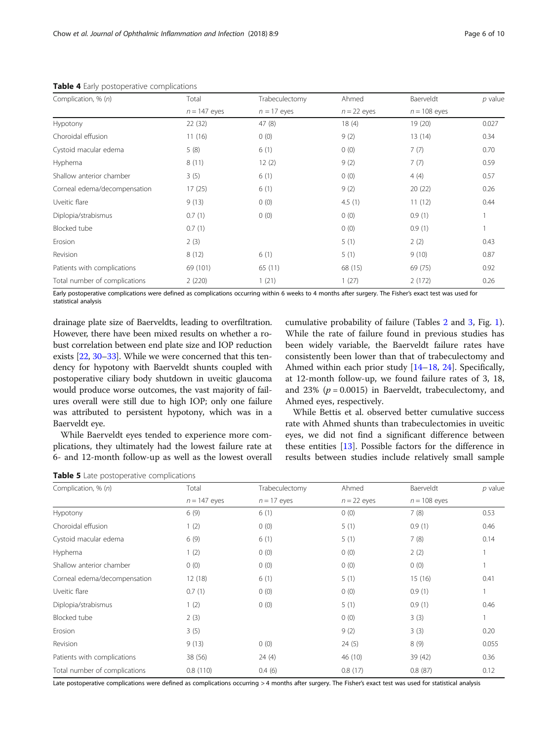| Complication, % (n)           | Total          | Trabeculectomy | Ahmed         | Baerveldt      | $p$ value |
|-------------------------------|----------------|----------------|---------------|----------------|-----------|
|                               | $n = 147$ eyes | $n = 17$ eyes  | $n = 22$ eyes | $n = 108$ eyes |           |
| Hypotony                      | 22(32)         | 47(8)          | 18(4)         | 19(20)         | 0.027     |
| Choroidal effusion            | 11(16)         | 0(0)           | 9(2)          | 13(14)         | 0.34      |
| Cystoid macular edema         | 5(8)           | 6(1)           | 0(0)          | 7(7)           | 0.70      |
| Hyphema                       | 8(11)          | 12(2)          | 9(2)          | 7(7)           | 0.59      |
| Shallow anterior chamber      | 3(5)           | 6(1)           | 0(0)          | 4(4)           | 0.57      |
| Corneal edema/decompensation  | 17(25)         | 6(1)           | 9(2)          | 20(22)         | 0.26      |
| Uveitic flare                 | 9(13)          | 0(0)           | 4.5(1)        | 11(12)         | 0.44      |
| Diplopia/strabismus           | 0.7(1)         | 0(0)           | 0(0)          | 0.9(1)         |           |
| Blocked tube                  | 0.7(1)         |                | 0(0)          | 0.9(1)         |           |
| Erosion                       | 2(3)           |                | 5(1)          | 2(2)           | 0.43      |
| Revision                      | 8(12)          | 6(1)           | 5(1)          | 9(10)          | 0.87      |
| Patients with complications   | 69 (101)       | 65 (11)        | 68 (15)       | 69 (75)        | 0.92      |
| Total number of complications | 2(220)         | 1(21)          | 1(27)         | 2(172)         | 0.26      |

<span id="page-5-0"></span>Table 4 Early postoperative complications

Early postoperative complications were defined as complications occurring within 6 weeks to 4 months after surgery. The Fisher's exact test was used for statistical analysis

drainage plate size of Baerveldts, leading to overfiltration. However, there have been mixed results on whether a robust correlation between end plate size and IOP reduction exists [[22](#page-8-0), [30](#page-9-0)–[33](#page-9-0)]. While we were concerned that this tendency for hypotony with Baerveldt shunts coupled with postoperative ciliary body shutdown in uveitic glaucoma would produce worse outcomes, the vast majority of failures overall were still due to high IOP; only one failure was attributed to persistent hypotony, which was in a Baerveldt eye.

cumulative probability of failure (Tables [2](#page-4-0) and [3,](#page-4-0) Fig. [1](#page-6-0)). While the rate of failure found in previous studies has been widely variable, the Baerveldt failure rates have consistently been lower than that of trabeculectomy and Ahmed within each prior study [\[14](#page-8-0)–[18,](#page-8-0) [24](#page-8-0)]. Specifically, at 12-month follow-up, we found failure rates of 3, 18, and 23% ( $p = 0.0015$ ) in Baerveldt, trabeculectomy, and Ahmed eyes, respectively.

While Baerveldt eyes tended to experience more complications, they ultimately had the lowest failure rate at 6- and 12-month follow-up as well as the lowest overall

While Bettis et al. observed better cumulative success rate with Ahmed shunts than trabeculectomies in uveitic eyes, we did not find a significant difference between these entities [\[13](#page-8-0)]. Possible factors for the difference in results between studies include relatively small sample

Table 5 Late postoperative complications

| Complication, % (n)           | Total          | Trabeculectomy | Ahmed         | Baerveldt      | $p$ value |
|-------------------------------|----------------|----------------|---------------|----------------|-----------|
|                               | $n = 147$ eyes | $n = 17$ eyes  | $n = 22$ eyes | $n = 108$ eyes |           |
| Hypotony                      | 6(9)           | 6(1)           | 0(0)          | 7(8)           | 0.53      |
| Choroidal effusion            | 1(2)           | 0(0)           | 5(1)          | 0.9(1)         | 0.46      |
| Cystoid macular edema         | 6(9)           | 6(1)           | 5(1)          | 7(8)           | 0.14      |
| Hyphema                       | 1(2)           | 0(0)           | 0(0)          | 2(2)           |           |
| Shallow anterior chamber      | 0(0)           | 0(0)           | 0(0)          | 0(0)           |           |
| Corneal edema/decompensation  | 12(18)         | 6(1)           | 5(1)          | 15(16)         | 0.41      |
| Uveitic flare                 | 0.7(1)         | 0(0)           | 0(0)          | 0.9(1)         |           |
| Diplopia/strabismus           | 1(2)           | 0(0)           | 5(1)          | 0.9(1)         | 0.46      |
| Blocked tube                  | 2(3)           |                | 0(0)          | 3(3)           |           |
| Erosion                       | 3(5)           |                | 9(2)          | 3(3)           | 0.20      |
| Revision                      | 9(13)          | 0(0)           | 24(5)         | 8(9)           | 0.055     |
| Patients with complications   | 38 (56)        | 24(4)          | 46 (10)       | 39 (42)        | 0.36      |
| Total number of complications | 0.8(110)       | 0.4(6)         | 0.8(17)       | 0.8(87)        | 0.12      |

Late postoperative complications were defined as complications occurring > 4 months after surgery. The Fisher's exact test was used for statistical analysis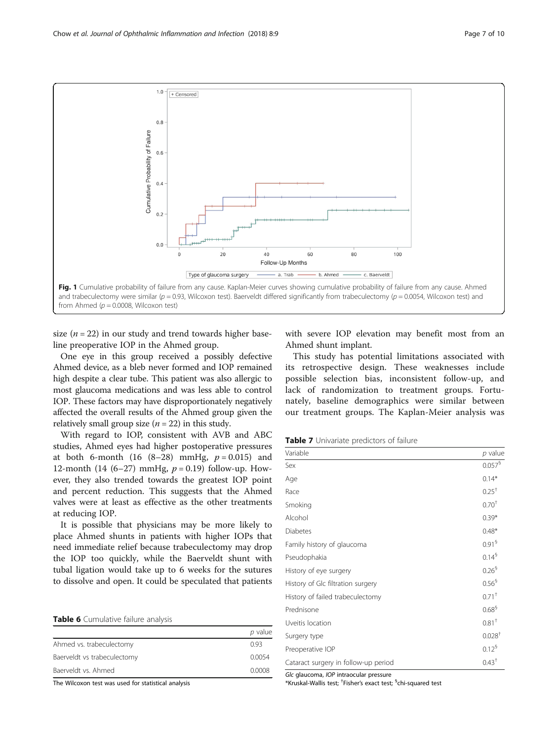<span id="page-6-0"></span>

size ( $n = 22$ ) in our study and trend towards higher baseline preoperative IOP in the Ahmed group.

One eye in this group received a possibly defective Ahmed device, as a bleb never formed and IOP remained high despite a clear tube. This patient was also allergic to most glaucoma medications and was less able to control IOP. These factors may have disproportionately negatively affected the overall results of the Ahmed group given the relatively small group size  $(n = 22)$  in this study.

With regard to IOP, consistent with AVB and ABC studies, Ahmed eyes had higher postoperative pressures at both 6-month (16  $(8-28)$  mmHg,  $p = 0.015$ ) and 12-month (14 (6–27) mmHg,  $p = 0.19$ ) follow-up. However, they also trended towards the greatest IOP point and percent reduction. This suggests that the Ahmed valves were at least as effective as the other treatments at reducing IOP.

It is possible that physicians may be more likely to place Ahmed shunts in patients with higher IOPs that need immediate relief because trabeculectomy may drop the IOP too quickly, while the Baerveldt shunt with tubal ligation would take up to 6 weeks for the sutures to dissolve and open. It could be speculated that patients

|  | <b>Table 6</b> Cumulative failure analysis |  |  |
|--|--------------------------------------------|--|--|
|--|--------------------------------------------|--|--|

|                             | p value |
|-----------------------------|---------|
| Ahmed vs. trabeculectomy    | 0.93    |
| Baerveldt vs trabeculectomy | 0.0054  |
| Baerveldt vs. Ahmed         | 0.0008  |
|                             |         |

The Wilcoxon test was used for statistical analysis

with severe IOP elevation may benefit most from an Ahmed shunt implant.

This study has potential limitations associated with its retrospective design. These weaknesses include possible selection bias, inconsistent follow-up, and lack of randomization to treatment groups. Fortunately, baseline demographics were similar between our treatment groups. The Kaplan-Meier analysis was

Table 7 Univariate predictors of failure

| Variable                             | $p$ value            |
|--------------------------------------|----------------------|
| Sex                                  | $0.057^{\$}$         |
| Age                                  | $0.14*$              |
| Race                                 | $0.25^+$             |
| Smoking                              | $0.70^{+}$           |
| Alcohol                              | $0.39*$              |
| <b>Diabetes</b>                      | $0.48*$              |
| Family history of glaucoma           | 0.91 <sup>6</sup>    |
| Pseudophakia                         | $0.14^{\frac{5}{2}}$ |
| History of eye surgery               | 0.26 <sup>5</sup>    |
| History of Glc filtration surgery    | 0.56 <sup>9</sup>    |
| History of failed trabeculectomy     | $0.71$ <sup>+</sup>  |
| Prednisone                           | $0.68^{\frac{5}{2}}$ |
| Uveitis location                     | $0.81+$              |
| Surgery type                         | $0.028$ <sup>†</sup> |
| Preoperative IOP                     | $0.12^{6}$           |
| Cataract surgery in follow-up period | $0.43^+$             |

Glc glaucoma, IOP intraocular pressure

\*Kruskal-Wallis test; † Fisher's exact test; § chi-squared test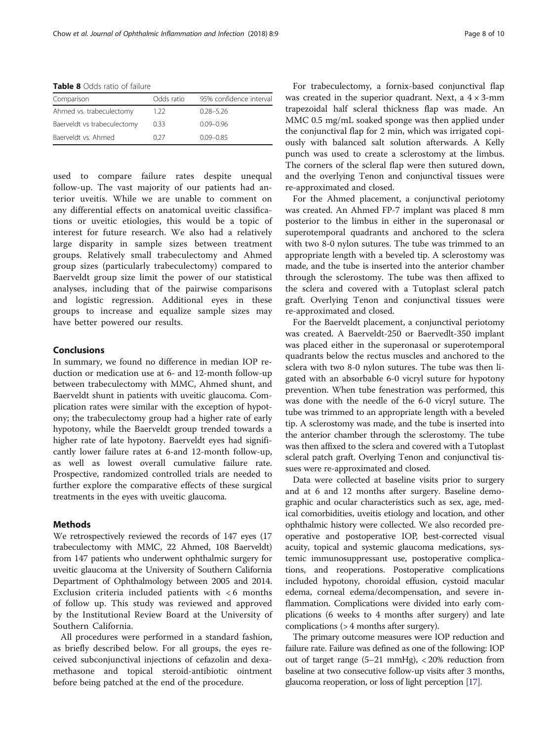<span id="page-7-0"></span>Table 8 Odds ratio of failure

| Odds ratio | 95% confidence interval |
|------------|-------------------------|
| 1.22       | $0.28 - 5.26$           |
| 0.33       | $0.09 - 0.96$           |
| 0.27       | $0.09 - 0.85$           |
|            |                         |

used to compare failure rates despite unequal follow-up. The vast majority of our patients had anterior uveitis. While we are unable to comment on any differential effects on anatomical uveitic classifications or uveitic etiologies, this would be a topic of interest for future research. We also had a relatively large disparity in sample sizes between treatment groups. Relatively small trabeculectomy and Ahmed group sizes (particularly trabeculectomy) compared to Baerveldt group size limit the power of our statistical analyses, including that of the pairwise comparisons and logistic regression. Additional eyes in these groups to increase and equalize sample sizes may have better powered our results.

#### Conclusions

In summary, we found no difference in median IOP reduction or medication use at 6- and 12-month follow-up between trabeculectomy with MMC, Ahmed shunt, and Baerveldt shunt in patients with uveitic glaucoma. Complication rates were similar with the exception of hypotony; the trabeculectomy group had a higher rate of early hypotony, while the Baerveldt group trended towards a higher rate of late hypotony. Baerveldt eyes had significantly lower failure rates at 6-and 12-month follow-up, as well as lowest overall cumulative failure rate. Prospective, randomized controlled trials are needed to further explore the comparative effects of these surgical treatments in the eyes with uveitic glaucoma.

#### Methods

We retrospectively reviewed the records of 147 eyes (17 trabeculectomy with MMC, 22 Ahmed, 108 Baerveldt) from 147 patients who underwent ophthalmic surgery for uveitic glaucoma at the University of Southern California Department of Ophthalmology between 2005 and 2014. Exclusion criteria included patients with  $<$  6 months of follow up. This study was reviewed and approved by the Institutional Review Board at the University of Southern California.

All procedures were performed in a standard fashion, as briefly described below. For all groups, the eyes received subconjunctival injections of cefazolin and dexamethasone and topical steroid-antibiotic ointment before being patched at the end of the procedure.

For trabeculectomy, a fornix-based conjunctival flap was created in the superior quadrant. Next, a  $4 \times 3$ -mm trapezoidal half scleral thickness flap was made. An MMC 0.5 mg/mL soaked sponge was then applied under the conjunctival flap for 2 min, which was irrigated copiously with balanced salt solution afterwards. A Kelly punch was used to create a sclerostomy at the limbus. The corners of the scleral flap were then sutured down, and the overlying Tenon and conjunctival tissues were re-approximated and closed.

For the Ahmed placement, a conjunctival periotomy was created. An Ahmed FP-7 implant was placed 8 mm posterior to the limbus in either in the superonasal or superotemporal quadrants and anchored to the sclera with two 8-0 nylon sutures. The tube was trimmed to an appropriate length with a beveled tip. A sclerostomy was made, and the tube is inserted into the anterior chamber through the sclerostomy. The tube was then affixed to the sclera and covered with a Tutoplast scleral patch graft. Overlying Tenon and conjunctival tissues were re-approximated and closed.

For the Baerveldt placement, a conjunctival periotomy was created. A Baerveldt-250 or Baervedlt-350 implant was placed either in the superonasal or superotemporal quadrants below the rectus muscles and anchored to the sclera with two 8-0 nylon sutures. The tube was then ligated with an absorbable 6-0 vicryl suture for hypotony prevention. When tube fenestration was performed, this was done with the needle of the 6-0 vicryl suture. The tube was trimmed to an appropriate length with a beveled tip. A sclerostomy was made, and the tube is inserted into the anterior chamber through the sclerostomy. The tube was then affixed to the sclera and covered with a Tutoplast scleral patch graft. Overlying Tenon and conjunctival tissues were re-approximated and closed.

Data were collected at baseline visits prior to surgery and at 6 and 12 months after surgery. Baseline demographic and ocular characteristics such as sex, age, medical comorbidities, uveitis etiology and location, and other ophthalmic history were collected. We also recorded preoperative and postoperative IOP, best-corrected visual acuity, topical and systemic glaucoma medications, systemic immunosuppressant use, postoperative complications, and reoperations. Postoperative complications included hypotony, choroidal effusion, cystoid macular edema, corneal edema/decompensation, and severe inflammation. Complications were divided into early complications (6 weeks to 4 months after surgery) and late complications (> 4 months after surgery).

The primary outcome measures were IOP reduction and failure rate. Failure was defined as one of the following: IOP out of target range (5–21 mmHg), < 20% reduction from baseline at two consecutive follow-up visits after 3 months, glaucoma reoperation, or loss of light perception [\[17\]](#page-8-0).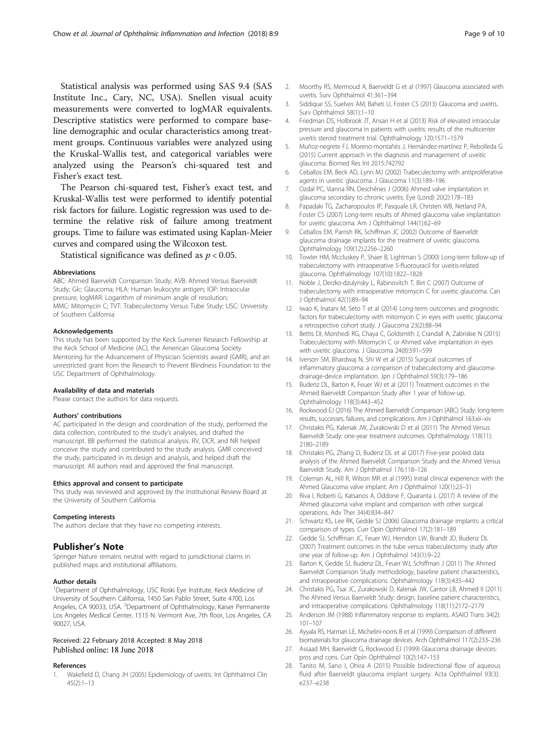<span id="page-8-0"></span>Statistical analysis was performed using SAS 9.4 (SAS Institute Inc., Cary, NC, USA). Snellen visual acuity measurements were converted to logMAR equivalents. Descriptive statistics were performed to compare baseline demographic and ocular characteristics among treatment groups. Continuous variables were analyzed using the Kruskal-Wallis test, and categorical variables were analyzed using the Pearson's chi-squared test and Fisher's exact test.

The Pearson chi-squared test, Fisher's exact test, and Kruskal-Wallis test were performed to identify potential risk factors for failure. Logistic regression was used to determine the relative risk of failure among treatment groups. Time to failure was estimated using Kaplan-Meier curves and compared using the Wilcoxon test.

Statistical significance was defined as  $p < 0.05$ .

#### Abbreviations

ABC: Ahmed Baerveldt Comparison Study; AVB: Ahmed Versus Baerveldt Study; Glc: Glaucoma; HLA: Human leukocyte antigen; IOP: Intraocular pressure; logMAR: Logarithm of minimum angle of resolution; MMC: Mitomycin C; TVT: Trabeculectomy Versus Tube Study; USC: University of Southern California

#### Acknowledgements

This study has been supported by the Keck Summer Research Fellowship at the Keck School of Medicine (AC), the American Glaucoma Society Mentoring for the Advancement of Physician Scientists award (GMR), and an unrestricted grant from the Research to Prevent Blindness Foundation to the USC Department of Ophthalmology.

#### Availability of data and materials

Please contact the authors for data requests.

#### Authors' contributions

AC participated in the design and coordination of the study, performed the data collection, contributed to the study's analyses, and drafted the manuscript. BB performed the statistical analysis. RV, DCR, and NR helped conceive the study and contributed to the study analysis. GMR conceived the study, participated in its design and analysis, and helped draft the manuscript. All authors read and approved the final manuscript.

#### Ethics approval and consent to participate

This study was reviewed and approved by the Institutional Review Board at the University of Southern California.

#### Competing interests

The authors declare that they have no competing interests.

#### Publisher's Note

Springer Nature remains neutral with regard to jurisdictional claims in published maps and institutional affiliations.

#### Author details

<sup>1</sup>Department of Ophthalmology, USC Roski Eye Institute, Keck Medicine of University of Southern California, 1450 San Pablo Street, Suite 4700, Los Angeles, CA 90033, USA. <sup>2</sup>Department of Ophthalmology, Kaiser Permanente Los Angeles Medical Center, 1515 N. Vermont Ave, 7th floor, Los Angeles, CA 90027, USA.

#### Received: 22 February 2018 Accepted: 8 May 2018 Published online: 18 June 2018

#### References

1. Wakefield D, Chang JH (2005) Epidemiology of uveitis. Int Ophthalmol Clin 45(2):1–13

- 2. Moorthy RS, Mermoud A, Baerveldt G et al (1997) Glaucoma associated with uveitis. Surv Ophthalmol 41:361–394
- 3. Siddique SS, Suelves AM, Baheti U, Foster CS (2013) Glaucoma and uveitis. Surv Ophthalmol 58(1):1–10
- 4. Friedman DS, Holbrook JT, Ansari H et al (2013) Risk of elevated intraocular pressure and glaucoma in patients with uveitis: results of the multicenter uveitis steroid treatment trial. Ophthalmology 120:1571–1579
- 5. Muñoz-negrete FJ, Moreno-montañés J, Hernández-martínez P, Rebolleda G (2015) Current approach in the diagnosis and management of uveitic glaucoma. Biomed Res Int 2015:742792
- 6. Ceballos EM, Beck AD, Lynn MJ (2002) Trabeculectomy with antiproliferative agents in uveitic glaucoma. J Glaucoma 11(3):189–196
- 7. Ozdal PC, Vianna RN, Deschênes J (2006) Ahmed valve implantation in glaucoma secondary to chronic uveitis. Eye (Lond) 20(2):178–183
- 8. Papadaki TG, Zacharopoulos IP, Pasquale LR, Christen WB, Netland PA, Foster CS (2007) Long-term results of Ahmed glaucoma valve implantation for uveitic glaucoma. Am J Ophthalmol 144(1):62–69
- 9. Ceballos EM, Parrish RK, Schiffman JC (2002) Outcome of Baerveldt glaucoma drainage implants for the treatment of uveitic glaucoma. Ophthalmology 109(12):2256–2260
- 10. Towler HM, Mccluskey P, Shaer B, Lightman S (2000) Long-term follow-up of trabeculectomy with intraoperative 5-fluorouracil for uveitis-related glaucoma. Ophthalmology 107(10):1822–1828
- 11. Noble J, Derzko-dzulynsky L, Rabinovitch T, Birt C (2007) Outcome of trabeculectomy with intraoperative mitomycin C for uveitic glaucoma. Can J Ophthalmol 42(1):89–94
- 12. Iwao K, Inatani M, Seto T et al (2014) Long-term outcomes and prognostic factors for trabeculectomy with mitomycin C in eyes with uveitic glaucoma: a retrospective cohort study. J Glaucoma 23(2):88–94
- 13. Bettis DI, Morshedi RG, Chaya C, Goldsmith J, Crandall A, Zabriskie N (2015) Trabeculectomy with Mitomycin C or Ahmed valve implantation in eyes with uveitic glaucoma. J Glaucoma 24(8):591–599
- 14. Iverson SM, Bhardwaj N, Shi W et al (2015) Surgical outcomes of inflammatory glaucoma: a comparison of trabeculectomy and glaucomadrainage-device implantation. Jpn J Ophthalmol 59(3):179–186
- 15. Budenz DL, Barton K, Feuer WJ et al (2011) Treatment outcomes in the Ahmed Baerveldt Comparison Study after 1 year of follow-up. Ophthalmology 118(3):443–452
- 16. Rockwood EJ (2016) The Ahmed Baerveldt Comparison (ABC) Study: long-term results, successes, failures, and complications. Am J Ophthalmol 163:xii–xiv
- 17. Christakis PG, Kalenak JW, Zurakowski D et al (2011) The Ahmed Versus Baerveldt Study: one-year treatment outcomes. Ophthalmology 118(11): 2180–2189
- 18. Christakis PG, Zhang D, Budenz DL et al (2017) Five-year pooled data analysis of the Ahmed Baerveldt Comparison Study and the Ahmed Versus Baerveldt Study. Am J Ophthalmol 176:118–126
- 19. Coleman AL, Hill R, Wilson MR et al (1995) Initial clinical experience with the Ahmed Glaucoma valve implant. Am J Ophthalmol 120(1):23–31
- 20. Riva I, Roberti G, Katsanos A, Oddone F, Quaranta L (2017) A review of the Ahmed glaucoma valve implant and comparison with other surgical operations. Adv Ther 34(4):834–847
- 21. Schwartz KS, Lee RK, Gedde SJ (2006) Glaucoma drainage implants: a critical comparison of types. Curr Opin Ophthalmol 17(2):181–189
- 22. Gedde SJ, Schiffman JC, Feuer WJ, Herndon LW, Brandt JD, Budenz DL (2007) Treatment outcomes in the tube versus trabeculectomy study after one year of follow-up. Am J Ophthalmol 143(1):9–22
- 23. Barton K, Gedde SJ, Budenz DL, Feuer WJ, Schiffman J (2011) The Ahmed Baerveldt Comparison Study methodology, baseline patient characteristics, and intraoperative complications. Ophthalmology 118(3):435–442
- 24. Christakis PG, Tsai JC, Zurakowski D, Kalenak JW, Cantor LB, Ahmed II (2011) The Ahmed Versus Baerveldt Study: design, baseline patient characteristics, and intraoperative complications. Ophthalmology 118(11):2172–2179
- 25. Anderson JM (1988) Inflammatory response to implants. ASAIO Trans 34(2): 101–107
- 26. Ayyala RS, Harman LE, Michelini-norris B et al (1999) Comparison of different biomaterials for glaucoma drainage devices. Arch Ophthalmol 117(2):233–236
- 27. Assaad MH, Baerveldt G, Rockwood EJ (1999) Glaucoma drainage devices: pros and cons. Curr Opin Ophthalmol 10(2):147–153
- 28. Tanito M, Sano I, Ohira A (2015) Possible bidirectional flow of aqueous fluid after Baerveldt glaucoma implant surgery. Acta Ophthalmol 93(3): e237–e238